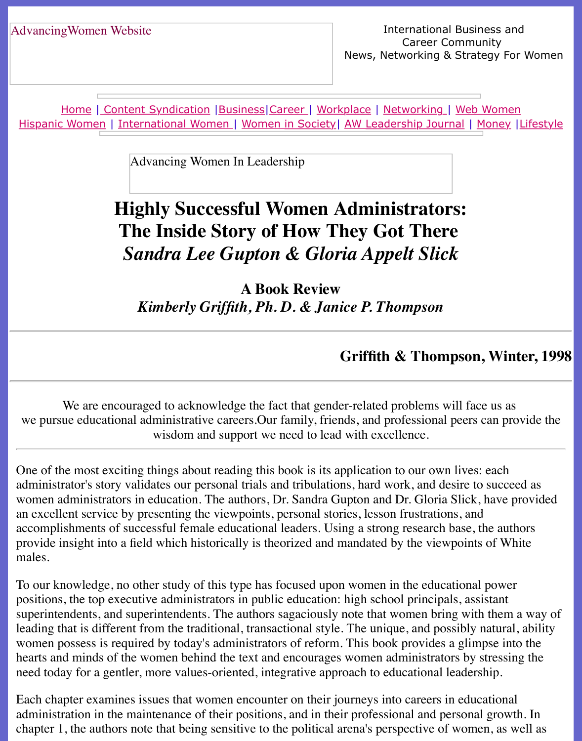Home | Content Syndication | Business | Career | Workplace | Networking | Web Wo Hispanic Women | International Women | Women in Society | AW Leadership Journal | Mon

Advancing Women In Leadership

## **[Highly Succ](file:///content.html)[essful](file:///business.html) [Wom](file:///awcareer.html)[en Adm](file:///workplace.html)i[nistrator](file:///networks.html)[s:](file:///web.html) [The Inside St](file:///international.html)[ory of How T](file:///Users/nrahman/Desktop/Flash2/womsoc/index.html)[hey Got There](file:///awl/awl.html)** *Sandra Lee Gupton & Gloria Appelt Slick*

**A Book Review** *Kimberly Griffith, Ph. D. & Janice P. Thompson*

## **Griffith & Thompson, V**

We are encouraged to acknowledge the fact that gender-related problems will face us we pursue educational administrative careers. Our family, friends, and professional peers can wisdom and support we need to lead with excellence.

One of the most exciting things about reading this book is its application to our own lives: each administrator's story validates our personal trials and tribulations, hard work, and desire to su women administrators in education. The authors, Dr. Sandra Gupton and Dr. Gloria Slick, ha an excellent service by presenting the viewpoints, personal stories, lesson frustrations, and accomplishments of successful female educational leaders. Using a strong research base, the provide insight into a field which historically is theorized and mandated by the viewpoints of males.

To our knowledge, no other study of this type has focused upon women in the educational power positions, the top executive administrators in public education: high school principals, assistant superintendents, and superintendents. The authors sagaciously note that women bring with them a way of them a way of them a way of them a way of them a way of them a way of them a way of them a way of them a way of them a leading that is different from the traditional, transactional style. The unique, and possibly nat women possess is required by today's administrators of reform. This book provides a glimps hearts and minds of the women behind the text and encourages women administrators by stre need today for a gentler, more values-oriented, integrative approach to educational leadership

Each chapter examines issues that women encounter on their journeys into careers in educational administration in the maintenance of their positions, and in their professional and personal go chapter 1, the authors note that being sensitive to the political arena's perspective of women,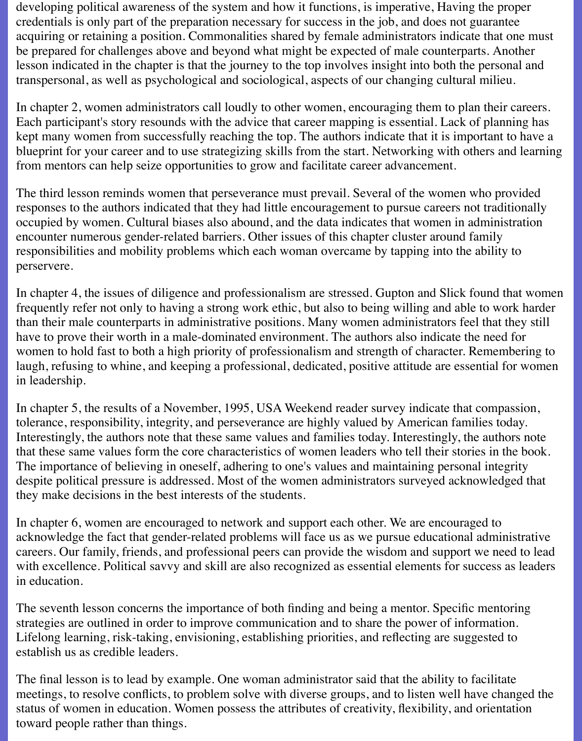developing political awareness of the system and how it functions, is imperative, Having the proper credentials is only part of the preparation necessary for success in the job, and does not guarantee acquiring or retaining a position. Commonalities shared by female administrators indicate that one must be prepared for challenges above and beyond what might be expected of male counterparts. Another lesson indicated in the chapter is that the journey to the top involves insight into both the personal and transpersonal, as well as psychological and sociological, aspects of our changing cultural milieu.

In chapter 2, women administrators call loudly to other women, encouraging them to plan their careers. Each participant's story resounds with the advice that career mapping is essential. Lack of planning has kept many women from successfully reaching the top. The authors indicate that it is important to have a blueprint for your career and to use strategizing skills from the start. Networking with others and learning from mentors can help seize opportunities to grow and facilitate career advancement.

The third lesson reminds women that perseverance must prevail. Several of the women who provided responses to the authors indicated that they had little encouragement to pursue careers not traditionally occupied by women. Cultural biases also abound, and the data indicates that women in administration encounter numerous gender-related barriers. Other issues of this chapter cluster around family responsibilities and mobility problems which each woman overcame by tapping into the ability to perservere.

In chapter 4, the issues of diligence and professionalism are stressed. Gupton and Slick found that women frequently refer not only to having a strong work ethic, but also to being willing and able to work harder than their male counterparts in administrative positions. Many women administrators feel that they still have to prove their worth in a male-dominated environment. The authors also indicate the need for women to hold fast to both a high priority of professionalism and strength of character. Remembering to laugh, refusing to whine, and keeping a professional, dedicated, positive attitude are essential for women in leadership.

In chapter 5, the results of a November, 1995, USA Weekend reader survey indicate that compassion, tolerance, responsibility, integrity, and perseverance are highly valued by American families today. Interestingly, the authors note that these same values and families today. Interestingly, the authors note that these same values form the core characteristics of women leaders who tell their stories in the book. The importance of believing in oneself, adhering to one's values and maintaining personal integrity despite political pressure is addressed. Most of the women administrators surveyed acknowledged that they make decisions in the best interests of the students.

In chapter 6, women are encouraged to network and support each other. We are encouraged to acknowledge the fact that gender-related problems will face us as we pursue educational administrative careers. Our family, friends, and professional peers can provide the wisdom and support we need to lead with excellence. Political savvy and skill are also recognized as essential elements for success as leaders in education.

The seventh lesson concerns the importance of both finding and being a mentor. Specific mentoring strategies are outlined in order to improve communication and to share the power of information. Lifelong learning, risk-taking, envisioning, establishing priorities, and reflecting are suggested to establish us as credible leaders.

The final lesson is to lead by example. One woman administrator said that the ability to facilitate meetings, to resolve conflicts, to problem solve with diverse groups, and to listen well have changed the status of women in education. Women possess the attributes of creativity, flexibility, and orientation toward people rather than things.